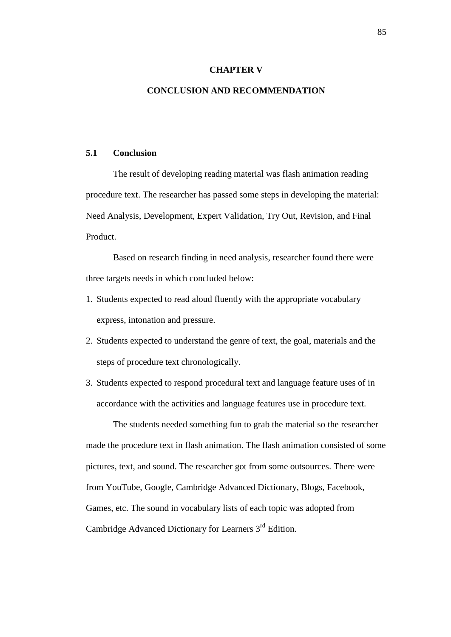## **CHAPTER V**

## **CONCLUSION AND RECOMMENDATION**

## **5.1 Conclusion**

The result of developing reading material was flash animation reading procedure text. The researcher has passed some steps in developing the material: Need Analysis, Development, Expert Validation, Try Out, Revision, and Final Product.

Based on research finding in need analysis, researcher found there were three targets needs in which concluded below:

- 1. Students expected to read aloud fluently with the appropriate vocabulary express, intonation and pressure.
- 2. Students expected to understand the genre of text, the goal, materials and the steps of procedure text chronologically.
- 3. Students expected to respond procedural text and language feature uses of in accordance with the activities and language features use in procedure text.

The students needed something fun to grab the material so the researcher made the procedure text in flash animation. The flash animation consisted of some pictures, text, and sound. The researcher got from some outsources. There were from YouTube, Google, Cambridge Advanced Dictionary, Blogs, Facebook, Games, etc. The sound in vocabulary lists of each topic was adopted from Cambridge Advanced Dictionary for Learners 3rd Edition.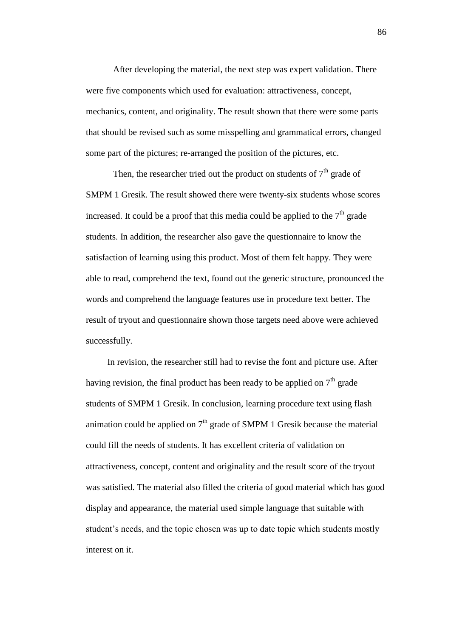After developing the material, the next step was expert validation. There were five components which used for evaluation: attractiveness, concept, mechanics, content, and originality. The result shown that there were some parts that should be revised such as some misspelling and grammatical errors, changed some part of the pictures; re-arranged the position of the pictures, etc.

Then, the researcher tried out the product on students of  $7<sup>th</sup>$  grade of SMPM 1 Gresik. The result showed there were twenty-six students whose scores increased. It could be a proof that this media could be applied to the  $7<sup>th</sup>$  grade students. In addition, the researcher also gave the questionnaire to know the satisfaction of learning using this product. Most of them felt happy. They were able to read, comprehend the text, found out the generic structure, pronounced the words and comprehend the language features use in procedure text better. The result of tryout and questionnaire shown those targets need above were achieved successfully.

In revision, the researcher still had to revise the font and picture use. After having revision, the final product has been ready to be applied on  $7<sup>th</sup>$  grade students of SMPM 1 Gresik. In conclusion, learning procedure text using flash animation could be applied on  $7<sup>th</sup>$  grade of SMPM 1 Gresik because the material could fill the needs of students. It has excellent criteria of validation on attractiveness, concept, content and originality and the result score of the tryout was satisfied. The material also filled the criteria of good material which has good display and appearance, the material used simple language that suitable with student's needs, and the topic chosen was up to date topic which students mostly interest on it.